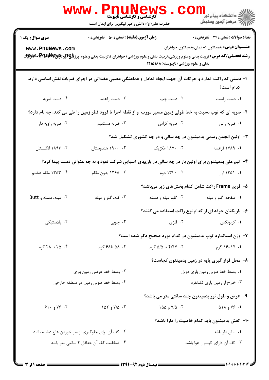|                                           | <b>WWW</b><br>ا TIUN CW کا ایران<br>کارشناسی و کارشناسی تاپیوسته<br>حضرت علی(ع): دانش راهبر نیکویی برای ایمان است                                                                                   |                                                                 | ڪ دانشڪاه پيا <sub>م</sub> نور<br>∕7 مرڪز آزمون وسنڊش                                         |
|-------------------------------------------|-----------------------------------------------------------------------------------------------------------------------------------------------------------------------------------------------------|-----------------------------------------------------------------|-----------------------------------------------------------------------------------------------|
| <b>سری سوال :</b> یک ۱<br>www.PnuNews.com | <b>زمان آزمون (دقیقه) : تستی : 50 ٪ تشریحی : 0</b><br><b>رشته تحصیلی/کد درس:</b> تربیت بدنی وعلوم ورزشی،تربیت بدنی وعلوم ورزشی (خواهران )،تربیت بدنی وعلوم ورز <b>تگا (لِڈِراڈPm مِPm مِPMS بِر</b> | بدنی و علوم ورزشی (ناپیوسته) ۱۲۱۵۱۸۸                            | تعداد سوالات : تستى : 24 تشريحي : 0<br><b>عنــــوان درس:</b> بدمینتون ۱-عملی،بدمینتون خواهران |
|                                           | ا– دستی که راکت  ندارد و حرکات آن جهت ایجاد تعادل و هماهنگی عصبی عضلانی در اجرای ضربات نقش اساسی دارد،                                                                                              |                                                                 | كدام است؟                                                                                     |
| ۰۴ دست ضربه                               | ۰۳ دست راهنما                                                                                                                                                                                       | ۰۲ دست چپ                                                       | ٠١ دست راست                                                                                   |
|                                           | ۲- ضربه ای که توپ نسبت به خط طولی زمین مسیر مورب ًو از نقطه اجرا تا فرود قطر زمین را طی می کند، چه نام دارد؟                                                                                        |                                                                 |                                                                                               |
| ۰۴ ضربه زاویه دار                         | ۰۳ ضربه مستقیم                                                                                                                                                                                      | ۰۲ ضربه کراس                                                    | ۰۱ ضربه رالي                                                                                  |
|                                           |                                                                                                                                                                                                     | ۳- اولین انجمن رسمی بدمینتون در چه سالی و در چه کشوری تشکیل شد؟ |                                                                                               |
| ۰۴ ۱۸۹۳ انگلستان                          | ۰۳ ۱۹۰۰ هندوستان                                                                                                                                                                                    | ۰۲ ۱۸۷۰ مکزیک                                                   | ۱. ۱۷۸۹ فرانسه                                                                                |
|                                           | ۴- تیم ملی بدمینتون برای اولین بار در چه سالی در بازیهای آسیایی شرکت نمود و به چه عنوانی دست پیدا کرد؟                                                                                              |                                                                 |                                                                                               |
| ۰۴ ۱۳۵۳ مقام هشتم                         | ۰۳ ـ ۱۳۶۵ بدون مقام                                                                                                                                                                                 | ۲. ۱۳۴۰ دوم                                                     | ۰۱ ۱۳۵۱ اول                                                                                   |
|                                           |                                                                                                                                                                                                     | ۵− فریم Frame راکت شامل کدام بخشهای زیر میباشد؟                 |                                                                                               |
| ۰۴ میله، دسته و Butt                      | ۰۳ کله، گلو و میله                                                                                                                                                                                  | ۰۲ گلو، میله و دسته                                             | ۰۱ صفحه، گلو و میله                                                                           |
|                                           |                                                                                                                                                                                                     | ۶- بازیکنان حرفه ای از کدام نوع راکت استفاده می کنند؟           |                                                                                               |
| ۰۴ پلاستیکی                               | ۰۳ چوبی                                                                                                                                                                                             | ۲. فلزی                                                         | ۰۱ کربونکس                                                                                    |
|                                           |                                                                                                                                                                                                     | ۷– وزن استاندارد توپ بدمینتون در کدام مورد صحیح ذکر شده است؟    |                                                                                               |
| ۰۴ تا ۲۸ گرم                              | ۰۳ ، ۵۸ تا۶۸ گرم                                                                                                                                                                                    | ۰۲ ، ۴/۴۷ تا ۵/۵ گرم                                            | ۱. ۱۴-۱۶ گرم                                                                                  |
|                                           |                                                                                                                                                                                                     |                                                                 | ۸– محل قرار گیری پایه در زمین بدمینتون کجاست؟                                                 |
| ۰۲ وسط خط عرضي زمين بازي                  |                                                                                                                                                                                                     | ٠١ وسط خط طولي زمين بازي دوبل                                   |                                                                                               |
| ۰۴ وسط خط طولی زمین در منطقه خارجی        |                                                                                                                                                                                                     | ۰۳ خارج از زمین بازی تکنفره                                     |                                                                                               |
|                                           |                                                                                                                                                                                                     | ۹- عرض و طول تور بدمینتون چند سانتی متر می باشد؟                |                                                                                               |
| 91.995.9                                  | $\sqrt{2}$ ، ۷/۵ و ۱۵۲                                                                                                                                                                              | ۰۲ و ۱۵۵                                                        | $\triangle$ ۱. ۷۶ و ۱۸ $\triangle$                                                            |
|                                           |                                                                                                                                                                                                     |                                                                 | ۱۰– کفش بدمینتون باید کدام خاصیت را دارا باشد؟                                                |
|                                           | ۰۲ کف آن برای جلوگیری از سر خوردن عاج داشته باشد                                                                                                                                                    |                                                                 | ۰۱ ساق دار باشد                                                                               |
|                                           | ۰۴ ضخامت كف آن حداقل ٢ سانتي متر باشد                                                                                                                                                               |                                                                 | ۰۳ کف آن دارای کپسول هوا باشد                                                                 |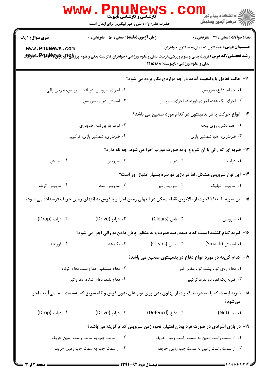|                                                                                                                  | <b>WWW.PnuNews</b><br>حضرت علی(ع): دانش راهبر نیکویی برای ایمان است |                                      | ران دانشگاه پيام نور <mark>−</mark><br>ا∛ مرکز آزمون وسنجش                                                                                                                                                                                         |  |  |
|------------------------------------------------------------------------------------------------------------------|---------------------------------------------------------------------|--------------------------------------|----------------------------------------------------------------------------------------------------------------------------------------------------------------------------------------------------------------------------------------------------|--|--|
| <b>سری سوال : ۱ یک</b><br>www.PnuNews.com                                                                        | <b>زمان آزمون (دقیقه) : تستی : 50 ٪ تشریحی : 0</b>                  | بدنی و علوم ورزشی (ناپیوسته) ۱۲۱۵۱۸۸ | تعداد سوالات : تستى : 24 تشريحي : .<br><b>عنــــوان درس:</b> بدمینتون ۱-عملی،بدمینتون خواهران<br><b>رشته تحصیلی/کد درس:</b> تربیت بدنی وعلوم ورزشی،تربیت بدنی وعلوم ورزشی (خواهران )،تربیت بدنی وعلوم ورز <b>تگچ(برRRUNE W</b> S <b>-WW</b> . بالا |  |  |
|                                                                                                                  |                                                                     |                                      | 11- حالت تعادل یا وضعیت آماده در چه مواردی بکار برده می شود؟                                                                                                                                                                                       |  |  |
|                                                                                                                  | ۰۲ اجرای سرویس، دریافت سرویس، جریان رالی                            |                                      | ٠١ حمله، دفاع، سرويس                                                                                                                                                                                                                               |  |  |
|                                                                                                                  | ۰۴ اسمش، درايو، سرويس                                               |                                      | ۰۳ اجرای بک هند، اجرای فورهند، اجرای سرویس                                                                                                                                                                                                         |  |  |
|                                                                                                                  |                                                                     |                                      | 1۲– انواع حرکت پا در بدمینتون در کدام مورد صحیح می باشد؟                                                                                                                                                                                           |  |  |
| ۰۲ نوک پا، پورتمه، ضربدری                                                                                        |                                                                     | ۰۱ آهو، بکس، روی پنجه                |                                                                                                                                                                                                                                                    |  |  |
|                                                                                                                  | ۰۴ ضربدری، شمشیر بازی، ترکیبی                                       |                                      | ۰۳ ضربدری، آهو، شمشیر بازی                                                                                                                                                                                                                         |  |  |
|                                                                                                                  |                                                                     |                                      | ۱۳- ضربه ای که رالی با آن شروع ً و به صورت مورب اجرا می شود، چه نام دارد؟                                                                                                                                                                          |  |  |
| ۰۴ اسمش                                                                                                          | ۰۳ سرویس                                                            | ۰۲ درايو                             | ۰۱ دراپ                                                                                                                                                                                                                                            |  |  |
|                                                                                                                  |                                                                     |                                      | ۱۴– این نوع سرویس مشکل، اما در بازی دو نفره بسیار امتیاز آور است؟                                                                                                                                                                                  |  |  |
| ۰۴ سرویس کوتاه                                                                                                   | ۰۳ سرويس بلند                                                       | ۰۲ سرویس تیز                         | ۰۱ سرويس فيليک                                                                                                                                                                                                                                     |  |  |
| 1۵– این ضربه با ۱۰۰٪ قدرت از بالاترین نقطه ممکن در انتهای زمین اجرا و با قوس به انتهای زمین حریف فرستاده می شود؟ |                                                                     |                                      |                                                                                                                                                                                                                                                    |  |  |
| ۰۴ دراپ (Drop)                                                                                                   | ۰۳ درايو (Drive)                                                    | ۲. تاس (Clears)                      | ۰۱ سرویس                                                                                                                                                                                                                                           |  |  |
|                                                                                                                  |                                                                     |                                      | ۱۶- ضربه تمام کننده ایست که با صددرصد قدرت و به منظور پایان دادن به رالی اجرا می شود؟                                                                                                                                                              |  |  |
| ۰۴ فورهند                                                                                                        | ۰۳ بک هند                                                           |                                      |                                                                                                                                                                                                                                                    |  |  |
|                                                                                                                  |                                                                     |                                      | ۱۷– کدام گزینه در مورد انواع دفاع در بدمینتون صحیح می باشد؟                                                                                                                                                                                        |  |  |
| ٠٢ دفاع مستقيم، دفاع بلند، دفاع كوتاه                                                                            |                                                                     | ۰۱ دفاع روی تور، پشت تور، مقابل تور  |                                                                                                                                                                                                                                                    |  |  |
| ۰۴ دفاع بلند، دفاع کوتاه، دفاع تيز                                                                               |                                                                     |                                      | ۰۳ ضربه یک نفر، دو نفره، ترکیبی                                                                                                                                                                                                                    |  |  |
|                                                                                                                  |                                                                     |                                      | ۱۸– ضربه ایست که با صددرصد قدرت از پهلوی بدن روی توپهای بدون قوس و گاه سریع که بهسمت شما میآیند، اجرا<br>مىشود؟                                                                                                                                    |  |  |
| ۰۴ د <sub>ر</sub> اپ (Drop)                                                                                      |                                                                     |                                      | ۰۱ نت (Net)                                                                                                                                                                                                                                        |  |  |
|                                                                                                                  |                                                                     |                                      | ۱۹- در بازی انفرادی در صورت فرد بودن امتیاز، نحوه زدن سرویس کدام گزینه می باشد؟                                                                                                                                                                    |  |  |
|                                                                                                                  | ۰۲ از سمت چپ به سمت راست زمین حریف                                  |                                      | ۰۱ از سمت راست زمین به سمت راست زمین حریف                                                                                                                                                                                                          |  |  |
|                                                                                                                  | ۰۴ از سمت چپ به سمت چپ زمین حریف                                    |                                      | ۰۳ از سمت راست زمین به سمت چپ زمین حریف                                                                                                                                                                                                            |  |  |
|                                                                                                                  |                                                                     |                                      | $-1.1.111$                                                                                                                                                                                                                                         |  |  |